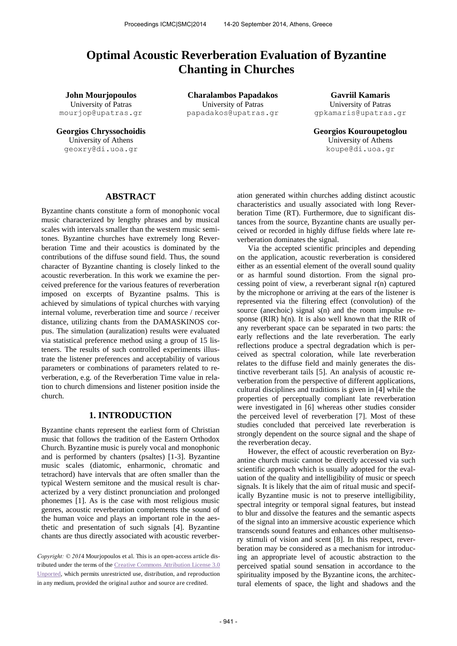# **Optimal Acoustic Reverberation Evaluation of Byzantine Chanting in Churches**

University of Patras mourjop@upatras.gr

University of Athens geoxry@di.uoa.gr

**John Mourjopoulos Charalambos Papadakos Gavriil Kamaris** University of Patras papadakos@upatras.gr

University of Patras gpkamaris@upatras.gr

**Georgios Chryssochoidis Georgios Kouroupetoglou** University of Athens [koupe@di.uoa.gr](mailto:koupe@di.uoa.gr)

# **ABSTRACT**

Byzantine chants constitute a form of monophonic vocal music characterized by lengthy phrases and by musical scales with intervals smaller than the western music semitones. Byzantine churches have extremely long Reverberation Time and their acoustics is dominated by the contributions of the diffuse sound field. Thus, the sound character of Byzantine chanting is closely linked to the acoustic reverberation. In this work we examine the perceived preference for the various features of reverberation imposed on excerpts of Byzantine psalms. This is achieved by simulations of typical churches with varying internal volume, reverberation time and source / receiver distance, utilizing chants from the DAMASKINOS corpus. The simulation (auralization) results were evaluated via statistical preference method using a group of 15 listeners. The results of such controlled experiments illustrate the listener preferences and acceptability of various parameters or combinations of parameters related to reverberation, e.g. of the Reverberation Time value in relation to church dimensions and listener position inside the church.

## **1. INTRODUCTION**

Byzantine chants represent the earliest form of Christian music that follows the tradition of the Eastern Orthodox Church. Byzantine music is purely vocal and monophonic and is performed by chanters (psaltes) [1-3]. Byzantine music scales (diatomic, enharmonic, chromatic and tetrachord) have intervals that are often smaller than the typical Western semitone and the musical result is characterized by a very distinct pronunciation and prolonged phonemes [1]. As is the case with most religious music genres, acoustic reverberation complements the sound of the human voice and plays an important role in the aesthetic and presentation of such signals [4]. Byzantine chants are thus directly associated with acoustic reverber-

*Copyright: © 201*4 Mourjopoulos et al. This is an open-access article distributed under the terms of the [Creative Commons Attribution License 3.0](http://creativecommons.org/licenses/by/3.0/)  [Unported,](http://creativecommons.org/licenses/by/3.0/) which permits unrestricted use, distribution, and reproduction in any medium, provided the original author and source are credited.

ation generated within churches adding distinct acoustic characteristics and usually associated with long Reverberation Time (RT). Furthermore, due to significant distances from the source, Byzantine chants are usually perceived or recorded in highly diffuse fields where late reverberation dominates the signal.

Via the accepted scientific principles and depending on the application, acoustic reverberation is considered either as an essential element of the overall sound quality or as harmful sound distortion. From the signal processing point of view, a reverberant signal  $r(n)$  captured by the microphone or arriving at the ears of the listener is represented via the filtering effect (convolution) of the source (anechoic) signal s(n) and the room impulse response (RIR) h(n). It is also well known that the RIR of any reverberant space can be separated in two parts: the early reflections and the late reverberation. The early reflections produce a spectral degradation which is perceived as spectral coloration, while late reverberation relates to the diffuse field and mainly generates the distinctive reverberant tails [5]. An analysis of acoustic reverberation from the perspective of different applications, cultural disciplines and traditions is given in [4] while the properties of perceptually compliant late reverberation were investigated in [6] whereas other studies consider the perceived level of reverberation [7]. Most of these studies concluded that perceived late reverberation is strongly dependent on the source signal and the shape of the reverberation decay.

However, the effect of acoustic reverberation on Byzantine church music cannot be directly accessed via such scientific approach which is usually adopted for the evaluation of the quality and intelligibility of music or speech signals. It is likely that the aim of ritual music and specifically Byzantine music is not to preserve intelligibility, spectral integrity or temporal signal features, but instead to blur and dissolve the features and the semantic aspects of the signal into an immersive acoustic experience which transcends sound features and enhances other multisensory stimuli of vision and scent [8]. In this respect, reverberation may be considered as a mechanism for introducing an appropriate level of acoustic abstraction to the perceived spatial sound sensation in accordance to the spirituality imposed by the Byzantine icons, the architectural elements of space, the light and shadows and the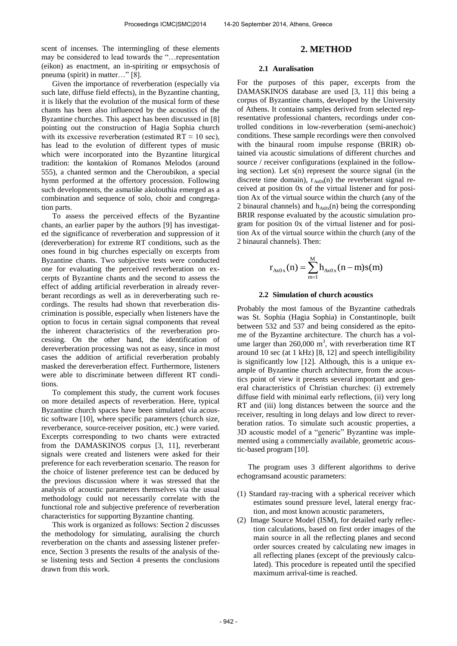scent of incenses. The intermingling of these elements may be considered to lead towards the "…representation (eikon) as enactment, an in-spiriting or empsychosis of pneuma (spirit) in matter…" [8].

Given the importance of reverberation (especially via such late, diffuse field effects), in the Byzantine chanting, it is likely that the evolution of the musical form of these chants has been also influenced by the acoustics of the Byzantine churches. This aspect has been discussed in [8] pointing out the construction of Hagia Sophia church with its excessive reverberation (estimated RT  $\approx$  10 sec), has lead to the evolution of different types of music which were incorporated into the Byzantine liturgical tradition: the kontakion of Romanos Melodos (around 555), a chanted sermon and the Cheroubikon, a special hymn performed at the offertory procession. Following such developments, the asmatike akolouthia emerged as a combination and sequence of solo, choir and congregation parts.

To assess the perceived effects of the Byzantine chants, an earlier paper by the authors [9] has investigated the significance of reverberation and suppression of it (dereverberation) for extreme RT conditions, such as the ones found in big churches especially on excerpts from Byzantine chants. Two subjective tests were conducted one for evaluating the perceived reverberation on excerpts of Byzantine chants and the second to assess the effect of adding artificial reverberation in already reverberant recordings as well as in dereverberating such recordings. The results had shown that reverberation discrimination is possible, especially when listeners have the option to focus in certain signal components that reveal the inherent characteristics of the reverberation processing. On the other hand, the identification of dereverberation processing was not as easy, since in most cases the addition of artificial reverberation probably masked the dereverberation effect. Furthermore, listeners were able to discriminate between different RT conditions.

To complement this study, the current work focuses on more detailed aspects of reverberation. Here, typical Byzantine church spaces have been simulated via acoustic software [10], where specific parameters (church size, reverberance, source-receiver position, etc.) were varied. Excerpts corresponding to two chants were extracted from the DAMASKINOS corpus [3, 11], reverberant signals were created and listeners were asked for their preference for each reverberation scenario. The reason for the choice of listener preference test can be deduced by the previous discussion where it was stressed that the analysis of acoustic parameters themselves via the usual methodology could not necessarily correlate with the functional role and subjective preference of reverberation characteristics for supporting Byzantine chanting.

This work is organized as follows: Section 2 discusses the methodology for simulating, auralising the church reverberation on the chants and assessing listener preference, Section 3 presents the results of the analysis of these listening tests and Section 4 presents the conclusions drawn from this work.

## **2. METHOD**

#### **2.1 Auralisation**

For the purposes of this paper, excerpts from the DAMASKINOS database are used [3, 11] this being a corpus of Byzantine chants, developed by the University of Athens. It contains samples derived from selected representative professional chanters, recordings under controlled conditions in low-reverberation (semi-anechoic) conditions. These sample recordings were then convolved with the binaural room impulse response (BRIR) obtained via acoustic simulations of different churches and source / receiver configurations (explained in the following section). Let s(n) represent the source signal (in the discrete time domain),  $r_{Ax0x}(n)$  the reverberant signal received at position 0x of the virtual listener and for position Ax of the virtual source within the church (any of the 2 binaural channels) and  $h_{Ax0x}(n)$  being the corresponding BRIR response evaluated by the acoustic simulation program for position 0x of the virtual listener and for position Ax of the virtual source within the church (any of the 2 binaural channels). Then:

$$
r_{Ax0x}(n) = \sum_{m=1}^{M} h_{Ax0x}(n-m)s(m)
$$

#### **2.2 Simulation of church acoustics**

Probably the most famous of the Byzantine cathedrals was St. Sophia (Hagia Sophia) in Constantinople, built between 532 and 537 and being considered as the epitome of the Byzantine architecture. The church has a volume larger than  $260,000 \text{ m}^3$ , with reverberation time RT around 10 sec (at 1 kHz) [8, 12] and speech intelligibility is significantly low [12]. Although, this is a unique example of Byzantine church architecture, from the acoustics point of view it presents several important and general characteristics of Christian churches: (i) extremely diffuse field with minimal early reflections, (ii) very long RT and (iii) long distances between the source and the receiver, resulting in long delays and low direct to reverberation ratios. To simulate such acoustic properties, a 3D acoustic model of a "generic" Byzantine was implemented using a commercially available, geometric acoustic-based program [10].

The program uses 3 different algorithms to derive echogramsand acoustic parameters:

- (1) Standard ray-tracing with a spherical receiver which estimates sound pressure level, lateral energy fraction, and most known acoustic parameters,
- (2) Image Source Model (ISM), for detailed early reflection calculations, based on first order images of the main source in all the reflecting planes and second order sources created by calculating new images in all reflecting planes (except of the previously calculated). This procedure is repeated until the specified maximum arrival-time is reached.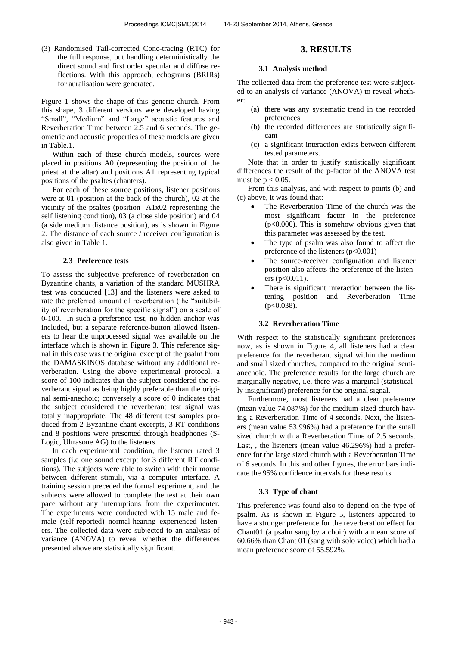(3) Randomised Tail-corrected Cone-tracing (RTC) for the full response, but handling deterministically the direct sound and first order specular and diffuse reflections. With this approach, echograms (BRIRs) for auralisation were generated.

Figure 1 shows the shape of this generic church. From this shape, 3 different versions were developed having "Small", "Medium" and "Large" acoustic features and Reverberation Time between 2.5 and 6 seconds. The geometric and acoustic properties of these models are given in Table.1.

Within each of these church models, sources were placed in positions A0 (representing the position of the priest at the altar) and positions A1 representing typical positions of the psaltes (chanters).

For each of these source positions, listener positions were at 01 (position at the back of the church), 02 at the vicinity of the psaltes (position A1x02 representing the self listening condition), 03 (a close side position) and 04 (a side medium distance position), as is shown in Figure 2. The distance of each source / receiver configuration is also given in Table 1.

#### **2.3 Preference tests**

To assess the subjective preference of reverberation on Byzantine chants, a variation of the standard MUSHRA test was conducted [13] and the listeners were asked to rate the preferred amount of reverberation (the "suitability of reverberation for the specific signal") on a scale of 0-100. In such a preference test, no hidden anchor was included, but a separate reference-button allowed listeners to hear the unprocessed signal was available on the interface which is shown in Figure 3. This reference signal in this case was the original excerpt of the psalm from the DAMASKINOS database without any additional reverberation. Using the above experimental protocol, a score of 100 indicates that the subject considered the reverberant signal as being highly preferable than the original semi-anechoic; conversely a score of 0 indicates that the subject considered the reverberant test signal was totally inappropriate. The 48 different test samples produced from 2 Byzantine chant excerpts, 3 RT conditions and 8 positions were presented through headphones (S-Logic, Ultrasone AG) to the listeners.

In each experimental condition, the listener rated 3 samples (i.e one sound excerpt for 3 different RT conditions). The subjects were able to switch with their mouse between different stimuli, via a computer interface. A training session preceded the formal experiment, and the subjects were allowed to complete the test at their own pace without any interruptions from the experimenter. The experiments were conducted with 15 male and female (self-reported) normal-hearing experienced listeners. The collected data were subjected to an analysis of variance (ANOVA) to reveal whether the differences presented above are statistically significant.

# **3. RESULTS**

#### **3.1 Analysis method**

The collected data from the preference test were subjected to an analysis of variance (ANOVA) to reveal whether:

- (a) there was any systematic trend in the recorded preferences
- (b) the recorded differences are statistically significant
- (c) a significant interaction exists between different tested parameters.

Note that in order to justify statistically significant differences the result of the p-factor of the ANOVA test must be  $p < 0.05$ .

From this analysis, and with respect to points (b) and (c) above, it was found that:

- The Reverberation Time of the church was the most significant factor in the preference  $(p<0.000)$ . This is somehow obvious given that this parameter was assessed by the test.
- The type of psalm was also found to affect the preference of the listeners  $(p<0.001)$
- The source-receiver configuration and listener position also affects the preference of the listeners (p<0.011).
- There is significant interaction between the listening position and Reverberation Time  $(p<0.038)$ .

## **3.2 Reverberation Time**

With respect to the statistically significant preferences now, as is shown in Figure 4, all listeners had a clear preference for the reverberant signal within the medium and small sized churches, compared to the original semianechoic. The preference results for the large church are marginally negative, i.e. there was a marginal (statistically insignificant) preference for the original signal.

Furthermore, most listeners had a clear preference (mean value 74.087%) for the medium sized church having a Reverberation Time of 4 seconds. Next, the listeners (mean value 53.996%) had a preference for the small sized church with a Reverberation Time of 2.5 seconds. Last, , the listeners (mean value 46.296%) had a preference for the large sized church with a Reverberation Time of 6 seconds. In this and other figures, the error bars indicate the 95% confidence intervals for these results.

## **3.3 Type of chant**

This preference was found also to depend on the type of psalm. As is shown in Figure 5, listeners appeared to have a stronger preference for the reverberation effect for Chant01 (a psalm sang by a choir) with a mean score of 60.66% than Chant 01 (sang with solo voice) which had a mean preference score of 55.592%.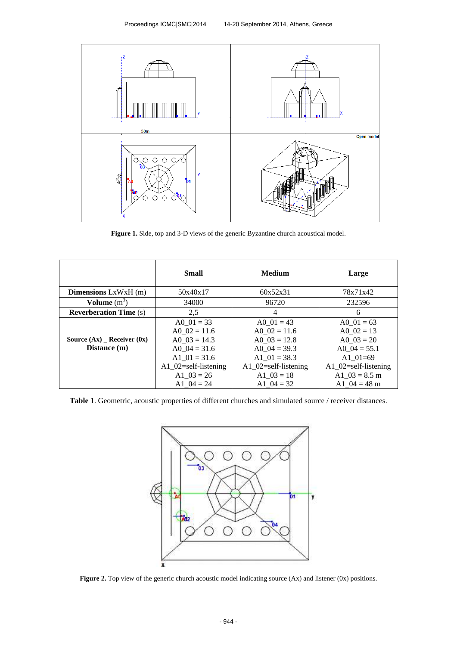

**Figure 1.** Side, top and 3-D views of the generic Byzantine church acoustical model.

|                                               | <b>Small</b>                                                                                                                    | <b>Medium</b>                                                                                                                   | Large                                                                                                                      |
|-----------------------------------------------|---------------------------------------------------------------------------------------------------------------------------------|---------------------------------------------------------------------------------------------------------------------------------|----------------------------------------------------------------------------------------------------------------------------|
| <b>Dimensions</b> $LxWxH(m)$                  | 50x40x17                                                                                                                        | 60x52x31                                                                                                                        | 78x71x42                                                                                                                   |
| Volume $(m^3)$                                | 34000                                                                                                                           | 96720                                                                                                                           | 232596                                                                                                                     |
| <b>Reverberation Time (s)</b>                 | 2,5                                                                                                                             | 4                                                                                                                               | 6                                                                                                                          |
| Source $(Ax)$ Receiver $(0x)$<br>Distance (m) | A0 $01 = 33$<br>A0 $02 = 11.6$<br>A0 $03 = 14.3$<br>A0 $04 = 31.6$<br>A1 $01 = 31.6$<br>A1 $02$ =self-listening<br>A1 $03 = 26$ | A0 $01 = 43$<br>A0 $02 = 11.6$<br>A0 $03 = 12.8$<br>A0 $04 = 39.3$<br>A1 $01 = 38.3$<br>$A1_02$ =self-listening<br>A1 $03 = 18$ | A0 $01 = 63$<br>A0 $02 = 13$<br>A0 $03 = 20$<br>A0 $04 = 55.1$<br>A1 $01=69$<br>A1 $02$ =self-listening<br>A1 $03 = 8.5$ m |
|                                               | A1 $04 = 24$                                                                                                                    | A1 $04 = 32$                                                                                                                    | A1 $04 = 48$ m                                                                                                             |

**Table 1**. Geometric, acoustic properties of different churches and simulated source / receiver distances.



Figure 2. Top view of the generic church acoustic model indicating source (Ax) and listener (0x) positions.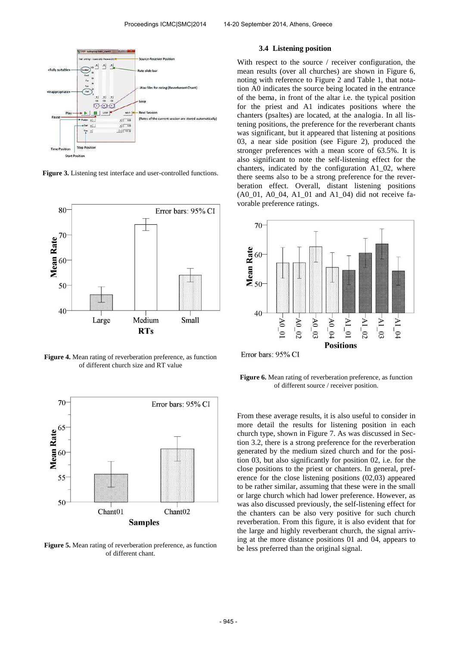

**Figure 3.** Listening test interface and user-controlled functions.



**Figure 4.** Mean rating of reverberation preference, as function of different church size and RT value



**Figure 5.** Mean rating of reverberation preference, as function of different chant.

#### **3.4 Listening position**

With respect to the source / receiver configuration, the mean results (over all churches) are shown in Figure 6, noting with reference to Figure 2 and Table 1, that notation A0 indicates the source being located in the entrance of the bema, in front of the altar i.e. the typical position for the priest and A1 indicates positions where the chanters (psaltes) are located, at the analogia. In all listening positions, the preference for the reverberant chants was significant, but it appeared that listening at positions 03, a near side position (see Figure 2), produced the stronger preferences with a mean score of 63.5%. It is also significant to note the self-listening effect for the chanters, indicated by the configuration A1\_02, where there seems also to be a strong preference for the reverberation effect. Overall, distant listening positions (A0\_01, A0\_04, A1\_01 and A1\_04) did not receive favorable preference ratings.



**Figure 6.** Mean rating of reverberation preference, as function of different source / receiver position.

From these average results, it is also useful to consider in more detail the results for listening position in each church type, shown in Figure 7. As was discussed in Section 3.2, there is a strong preference for the reverberation generated by the medium sized church and for the position 03, but also significantly for position 02, i.e. for the close positions to the priest or chanters. In general, preference for the close listening positions (02,03) appeared to be rather similar, assuming that these were in the small or large church which had lower preference. However, as was also discussed previously, the self-listening effect for the chanters can be also very positive for such church reverberation. From this figure, it is also evident that for the large and highly reverberant church, the signal arriving at the more distance positions 01 and 04, appears to be less preferred than the original signal.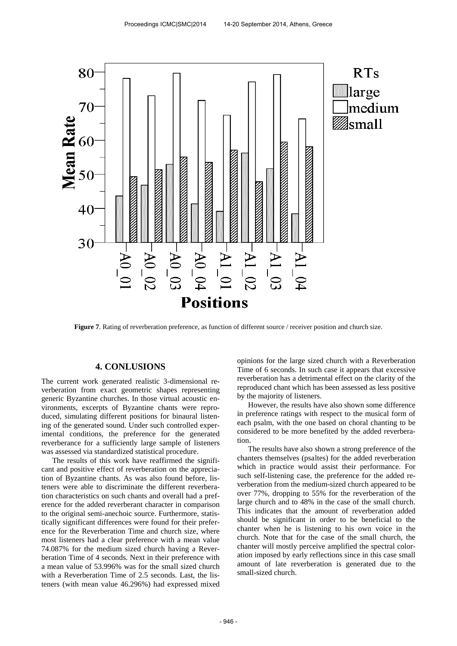

**Figure 7**. Rating of reverberation preference, as function of different source / receiver position and church size.

## **4. CONLUSIONS**

The current work generated realistic 3-dimensional reverberation from exact geometric shapes representing generic Byzantine churches. In those virtual acoustic environments, excerpts of Byzantine chants were reproduced, simulating different positions for binaural listening of the generated sound. Under such controlled experimental conditions, the preference for the generated reverberance for a sufficiently large sample of listeners was assessed via standardized statistical procedure.

The results of this work have reaffirmed the significant and positive effect of reverberation on the appreciation of Byzantine chants. As was also found before, listeners were able to discriminate the different reverberation characteristics on such chants and overall had a preference for the added reverberant character in comparison to the original semi-anechoic source. Furthermore, statistically significant differences were found for their preference for the Reverberation Time and church size, where most listeners had a clear preference with a mean value 74.087% for the medium sized church having a Reverberation Time of 4 seconds. Next in their preference with a mean value of 53.996% was for the small sized church with a Reverberation Time of 2.5 seconds. Last, the listeners (with mean value 46.296%) had expressed mixed

opinions for the large sized church with a Reverberation Time of 6 seconds. In such case it appears that excessive reverberation has a detrimental effect on the clarity of the reproduced chant which has been assessed as less positive by the majority of listeners.

However, the results have also shown some difference in preference ratings with respect to the musical form of each psalm, with the one based on choral chanting to be considered to be more benefited by the added reverberation.

The results have also shown a strong preference of the chanters themselves (psaltes) for the added reverberation which in practice would assist their performance. For such self-listening case, the preference for the added reverberation from the medium-sized church appeared to be over 77%, dropping to 55% for the reverberation of the large church and to 48% in the case of the small church. This indicates that the amount of reverberation added should be significant in order to be beneficial to the chanter when he is listening to his own voice in the church. Note that for the case of the small church, the chanter will mostly perceive amplified the spectral coloration imposed by early reflections since in this case small amount of late reverberation is generated due to the small-sized church.